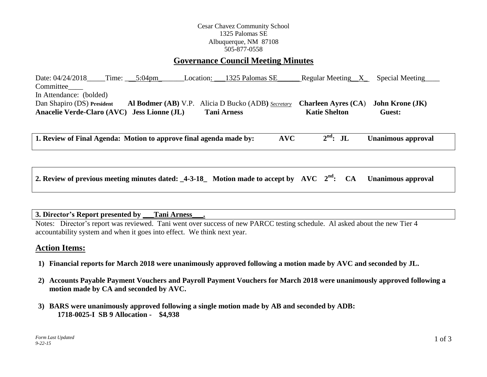## Cesar Chavez Community School 1325 Palomas SE Albuquerque, NM 87108 505-877-0558

# **Governance Council Meeting Minutes**

Date: 04/24/2018 Time: \_\_5:04pm Location: \_\_\_1325 Palomas SE\_\_\_\_\_\_\_ Regular Meeting\_\_X\_\_\_ Special Meeting Committee\_\_\_\_ In Attendance: (bolded) Dan Shapiro (DS) **President Al Bodmer (AB)** V.P. Alicia D Bucko (ADB**)** *Secretary* **Charleen Ayres (CA**) **John Krone (JK) Anacelie Verde-Claro (AVC) Jess Lionne (JL) Tani Arness Katie Shelton Guest:** 

**1. Review of Final Agenda: Motion to approve final agenda made by: AVC 2 Unanimous approval** 

| 2. Review of previous meeting minutes dated: $\text{\_4-3-18}_{\text{\_}}$ Motion made to accept by AVC $2^{\text{nd}}$ : CA Unanimous approval |  |  |  |  |  |  |
|-------------------------------------------------------------------------------------------------------------------------------------------------|--|--|--|--|--|--|
|-------------------------------------------------------------------------------------------------------------------------------------------------|--|--|--|--|--|--|

#### **3. Director's Report presented by \_\_\_Tani Arness\_\_\_.**

Notes: Director's report was reviewed. Tani went over success of new PARCC testing schedule. Al asked about the new Tier 4 accountability system and when it goes into effect. We think next year.

# **Action Items:**

- **1) Financial reports for March 2018 were unanimously approved following a motion made by AVC and seconded by JL.**
- **2) Accounts Payable Payment Vouchers and Payroll Payment Vouchers for March 2018 were unanimously approved following a motion made by CA and seconded by AVC.**
- **3) BARS were unanimously approved following a single motion made by AB and seconded by ADB: 1718-0025-I SB 9 Allocation - \$4,938**